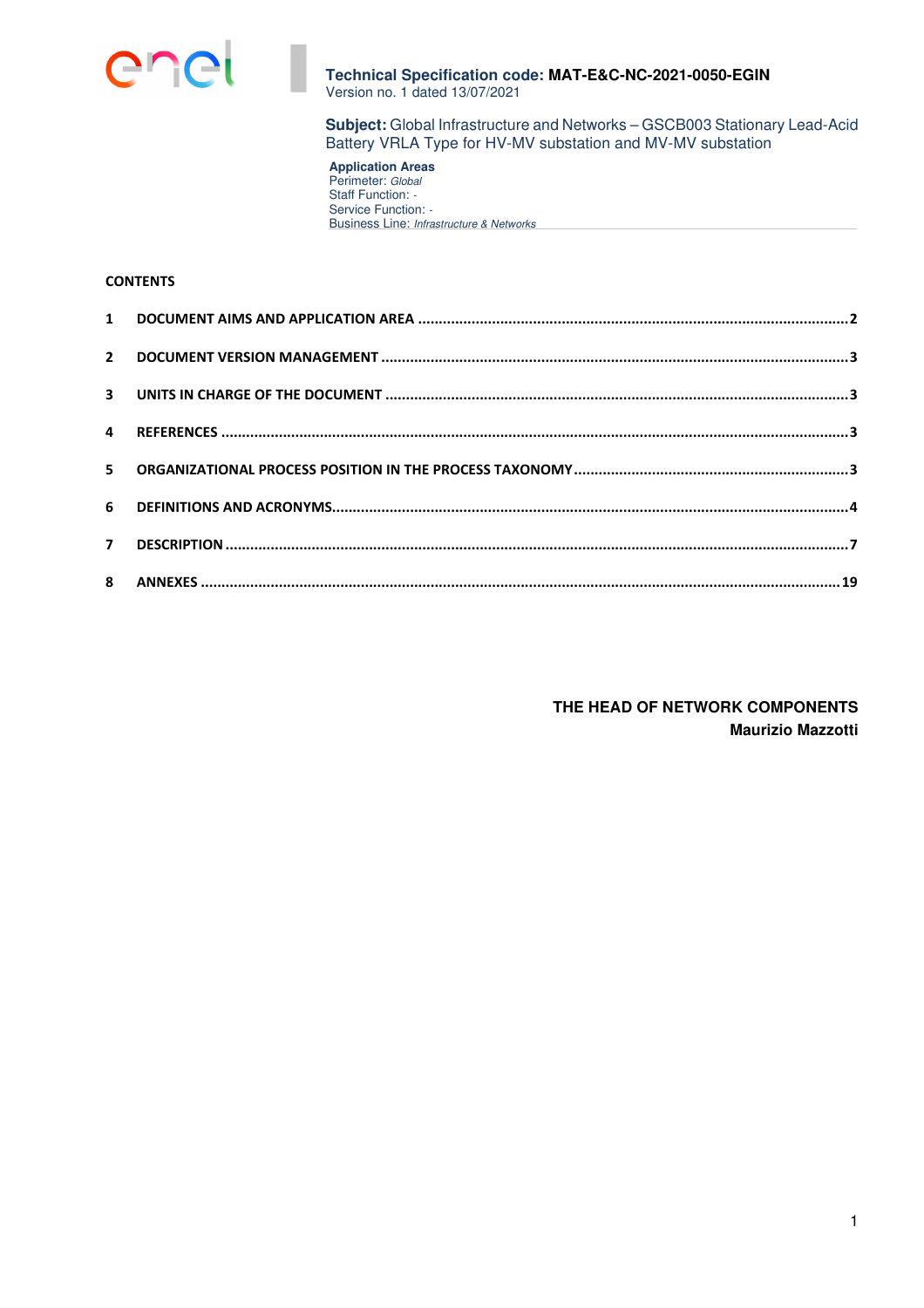

**Subject:** Global Infrastructure and Networks – GSCB003 Stationary Lead-Acid Battery VRLA Type for HV-MV substation and MV-MV substation

**Application Areas**  Perimeter: Global Staff Function: -Service Function: -Business Line: Infrastructure & Networks

# **CONTENTS**

**THE HEAD OF NETWORK COMPONENTS Maurizio Mazzotti**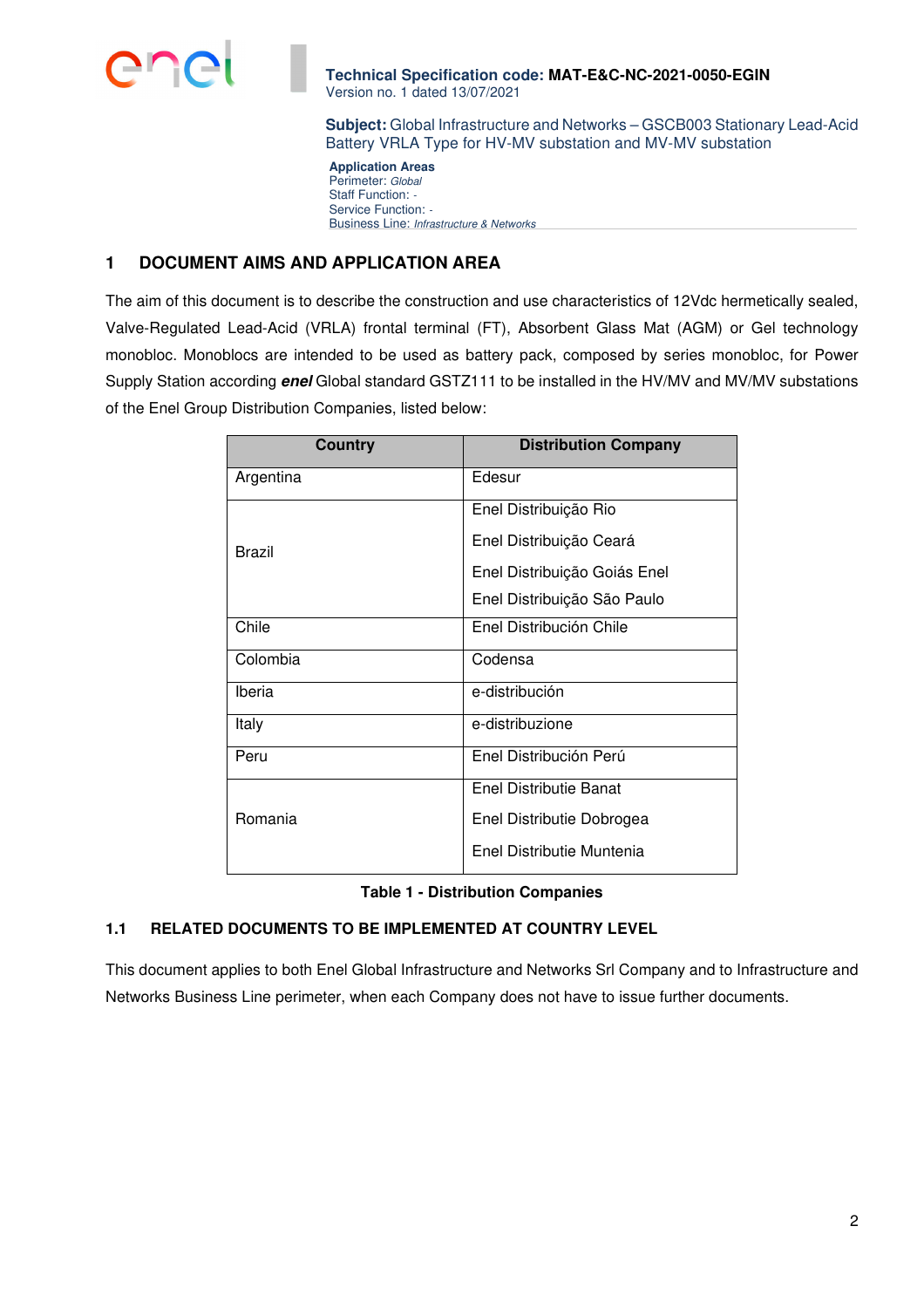

**Subject:** Global Infrastructure and Networks – GSCB003 Stationary Lead-Acid Battery VRLA Type for HV-MV substation and MV-MV substation

**Application Areas**  Perimeter: Global Staff Function: -Service Function: -Business Line: Infrastructure & Networks

# **1 DOCUMENT AIMS AND APPLICATION AREA**

The aim of this document is to describe the construction and use characteristics of 12Vdc hermetically sealed, Valve-Regulated Lead-Acid (VRLA) frontal terminal (FT), Absorbent Glass Mat (AGM) or Gel technology monobloc. Monoblocs are intended to be used as battery pack, composed by series monobloc, for Power Supply Station according **enel** Global standard GSTZ111 to be installed in the HV/MV and MV/MV substations of the Enel Group Distribution Companies, listed below:

| <b>Country</b> | <b>Distribution Company</b>  |
|----------------|------------------------------|
| Argentina      | Edesur                       |
|                | Enel Distribuição Rio        |
| Brazil         | Enel Distribuição Ceará      |
|                | Enel Distribuição Goiás Enel |
|                | Enel Distribuição São Paulo  |
| Chile          | Enel Distribución Chile      |
| Colombia       | Codensa                      |
| Iberia         | e-distribución               |
| Italy          | e-distribuzione              |
| Peru           | Enel Distribución Perú       |
|                | Enel Distributie Banat       |
| Romania        | Enel Distributie Dobrogea    |
|                | Enel Distributie Muntenia    |

**Table 1 - Distribution Companies** 

# **1.1 RELATED DOCUMENTS TO BE IMPLEMENTED AT COUNTRY LEVEL**

This document applies to both Enel Global Infrastructure and Networks Srl Company and to Infrastructure and Networks Business Line perimeter, when each Company does not have to issue further documents.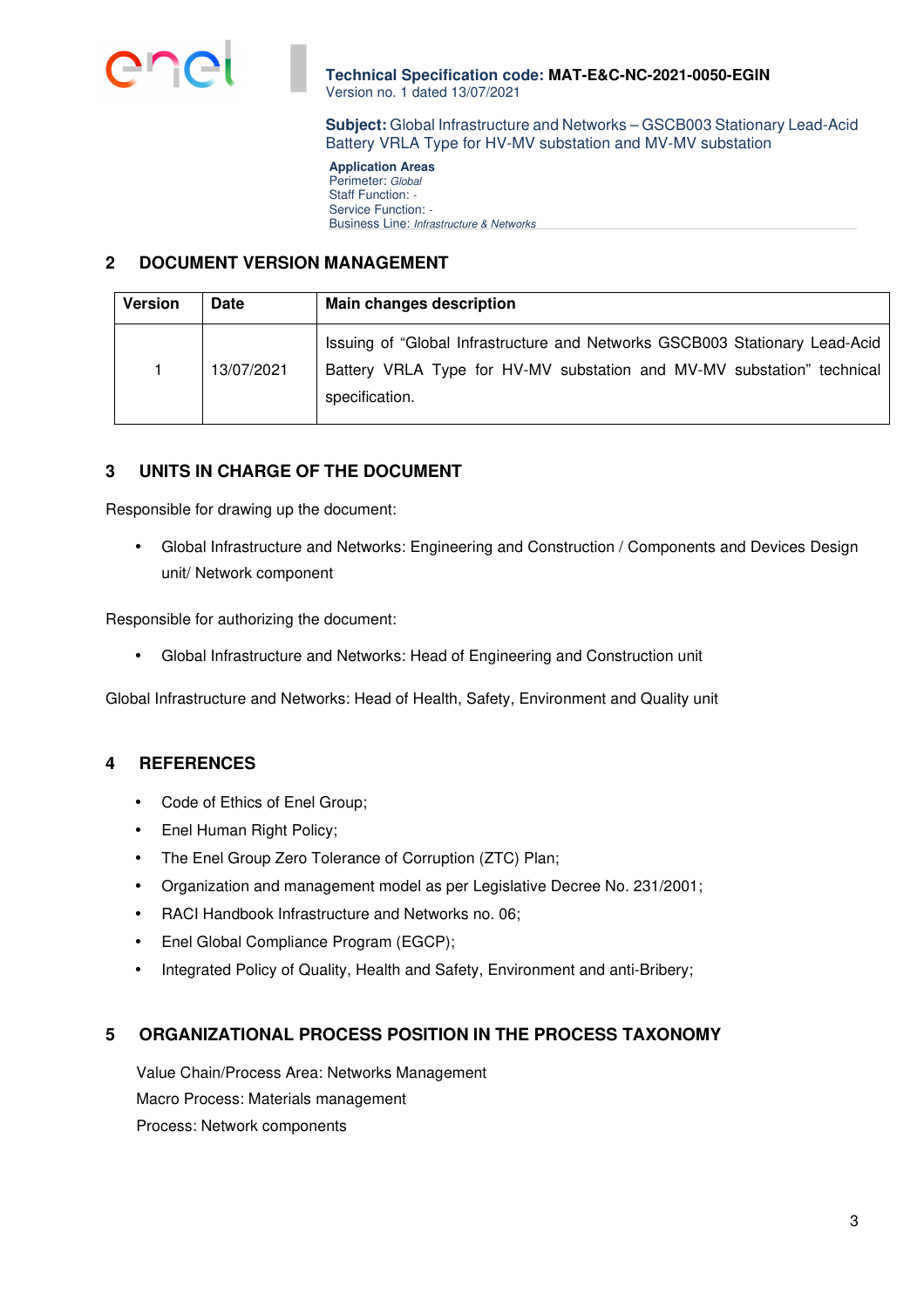

**Subject:** Global Infrastructure and Networks – GSCB003 Stationary Lead-Acid Battery VRLA Type for HV-MV substation and MV-MV substation

**Application Areas**  Perimeter: Global Staff Function: -Service Function: -Business Line: Infrastructure & Networks

# **2 DOCUMENT VERSION MANAGEMENT**

| <b>Version</b> | <b>Date</b> | <b>Main changes description</b>                                                                                                                                         |  |  |
|----------------|-------------|-------------------------------------------------------------------------------------------------------------------------------------------------------------------------|--|--|
|                | 13/07/2021  | Issuing of "Global Infrastructure and Networks GSCB003 Stationary Lead-Acid<br>Battery VRLA Type for HV-MV substation and MV-MV substation" technical<br>specification. |  |  |

# **3 UNITS IN CHARGE OF THE DOCUMENT**

Responsible for drawing up the document:

• Global Infrastructure and Networks: Engineering and Construction / Components and Devices Design unit/ Network component

Responsible for authorizing the document:

• Global Infrastructure and Networks: Head of Engineering and Construction unit

Global Infrastructure and Networks: Head of Health, Safety, Environment and Quality unit

# **4 REFERENCES**

- Code of Ethics of Enel Group;
- Enel Human Right Policy;
- The Enel Group Zero Tolerance of Corruption (ZTC) Plan;
- Organization and management model as per Legislative Decree No. 231/2001;
- RACI Handbook Infrastructure and Networks no. 06;
- Enel Global Compliance Program (EGCP);
- Integrated Policy of Quality, Health and Safety, Environment and anti-Bribery;

# **5 ORGANIZATIONAL PROCESS POSITION IN THE PROCESS TAXONOMY**

Value Chain/Process Area: Networks Management Macro Process: Materials management Process: Network components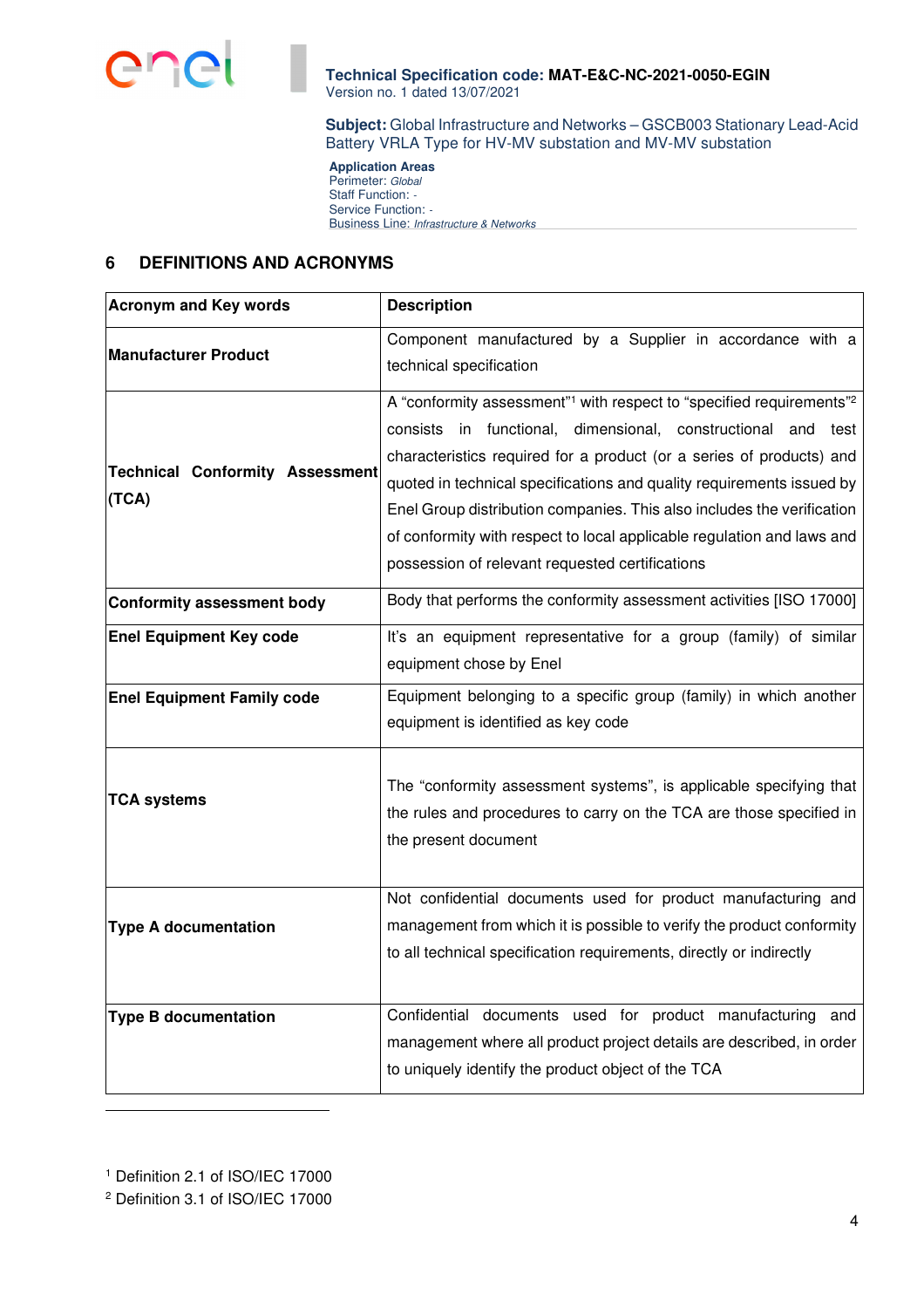

**Subject:** Global Infrastructure and Networks – GSCB003 Stationary Lead-Acid Battery VRLA Type for HV-MV substation and MV-MV substation

**Application Areas**  Perimeter: Global Staff Function: -Service Function: -Business Line: Infrastructure & Networks

# **6 DEFINITIONS AND ACRONYMS**

| <b>Acronym and Key words</b>                    | <b>Description</b>                                                                                                                                                                                                                                                                                                                                                                                                                                                                                                   |
|-------------------------------------------------|----------------------------------------------------------------------------------------------------------------------------------------------------------------------------------------------------------------------------------------------------------------------------------------------------------------------------------------------------------------------------------------------------------------------------------------------------------------------------------------------------------------------|
| <b>Manufacturer Product</b>                     | Component manufactured by a Supplier in accordance with a<br>technical specification                                                                                                                                                                                                                                                                                                                                                                                                                                 |
| <b>Technical Conformity Assessment</b><br>(TCA) | A "conformity assessment" <sup>1</sup> with respect to "specified requirements" <sup>2</sup><br>consists in functional, dimensional, constructional and test<br>characteristics required for a product (or a series of products) and<br>quoted in technical specifications and quality requirements issued by<br>Enel Group distribution companies. This also includes the verification<br>of conformity with respect to local applicable regulation and laws and<br>possession of relevant requested certifications |
| <b>Conformity assessment body</b>               | Body that performs the conformity assessment activities [ISO 17000]                                                                                                                                                                                                                                                                                                                                                                                                                                                  |
| <b>Enel Equipment Key code</b>                  | It's an equipment representative for a group (family) of similar<br>equipment chose by Enel                                                                                                                                                                                                                                                                                                                                                                                                                          |
| <b>Enel Equipment Family code</b>               | Equipment belonging to a specific group (family) in which another<br>equipment is identified as key code                                                                                                                                                                                                                                                                                                                                                                                                             |
| <b>TCA systems</b>                              | The "conformity assessment systems", is applicable specifying that<br>the rules and procedures to carry on the TCA are those specified in<br>the present document                                                                                                                                                                                                                                                                                                                                                    |
| <b>Type A documentation</b>                     | Not confidential documents used for product manufacturing and<br>management from which it is possible to verify the product conformity<br>to all technical specification requirements, directly or indirectly                                                                                                                                                                                                                                                                                                        |
| <b>Type B documentation</b>                     | Confidential documents used for product manufacturing and<br>management where all product project details are described, in order<br>to uniquely identify the product object of the TCA                                                                                                                                                                                                                                                                                                                              |

1 Definition 2.1 of ISO/IEC 17000

<sup>2</sup> Definition 3.1 of ISO/IEC 17000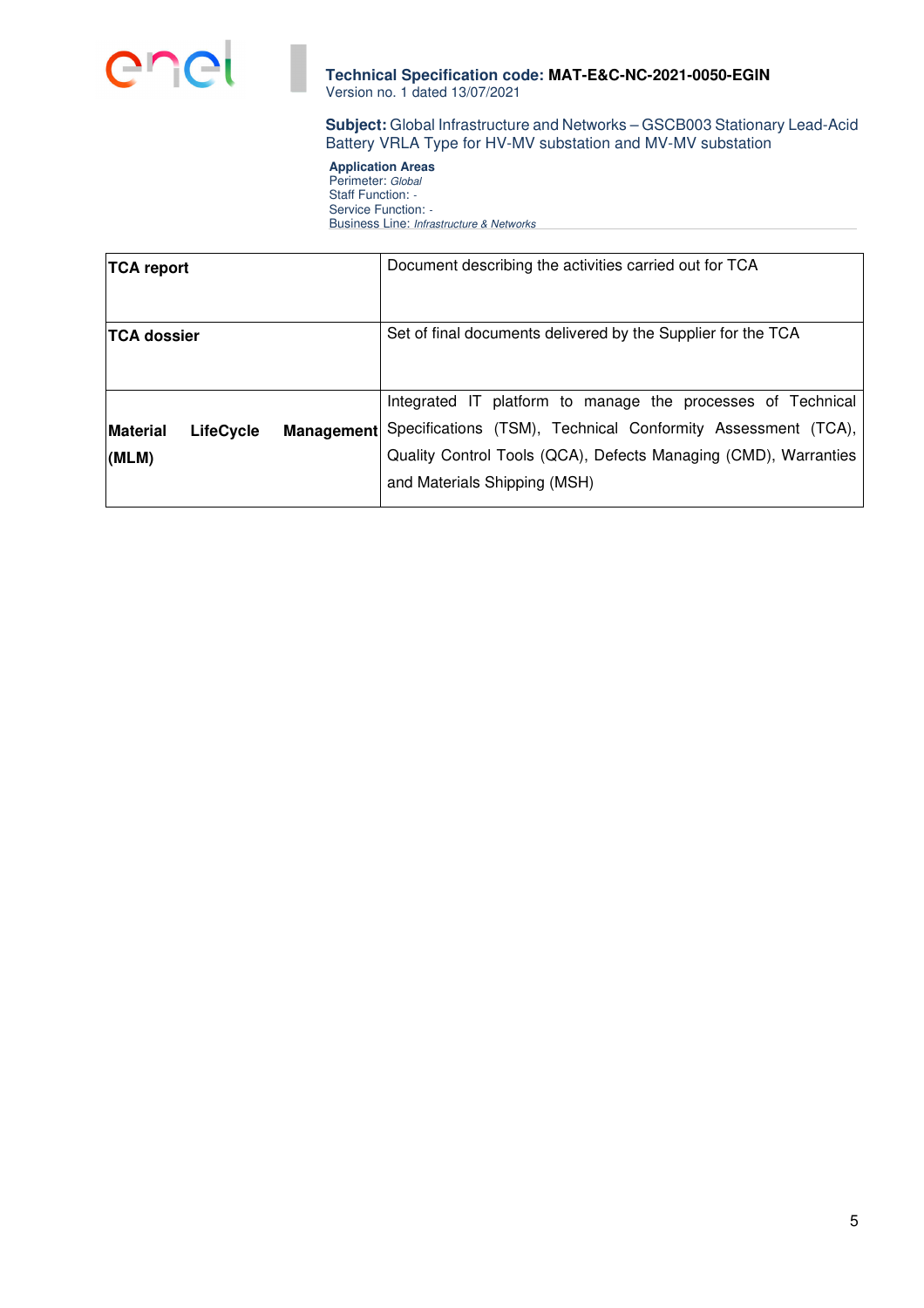

**Subject:** Global Infrastructure and Networks – GSCB003 Stationary Lead-Acid Battery VRLA Type for HV-MV substation and MV-MV substation

**Application Areas**  Perimeter: Global Staff Function: -Service Function: -Business Line: Infrastructure & Networks

| <b>TCA report</b>        |                  |            | Document describing the activities carried out for TCA                                                                                                                                                                         |
|--------------------------|------------------|------------|--------------------------------------------------------------------------------------------------------------------------------------------------------------------------------------------------------------------------------|
| <b>TCA dossier</b>       |                  |            | Set of final documents delivered by the Supplier for the TCA                                                                                                                                                                   |
| <b>Material</b><br>(MLM) | <b>LifeCycle</b> | Management | Integrated IT platform to manage the processes of Technical<br>Specifications (TSM), Technical Conformity Assessment (TCA),<br>Quality Control Tools (QCA), Defects Managing (CMD), Warranties<br>and Materials Shipping (MSH) |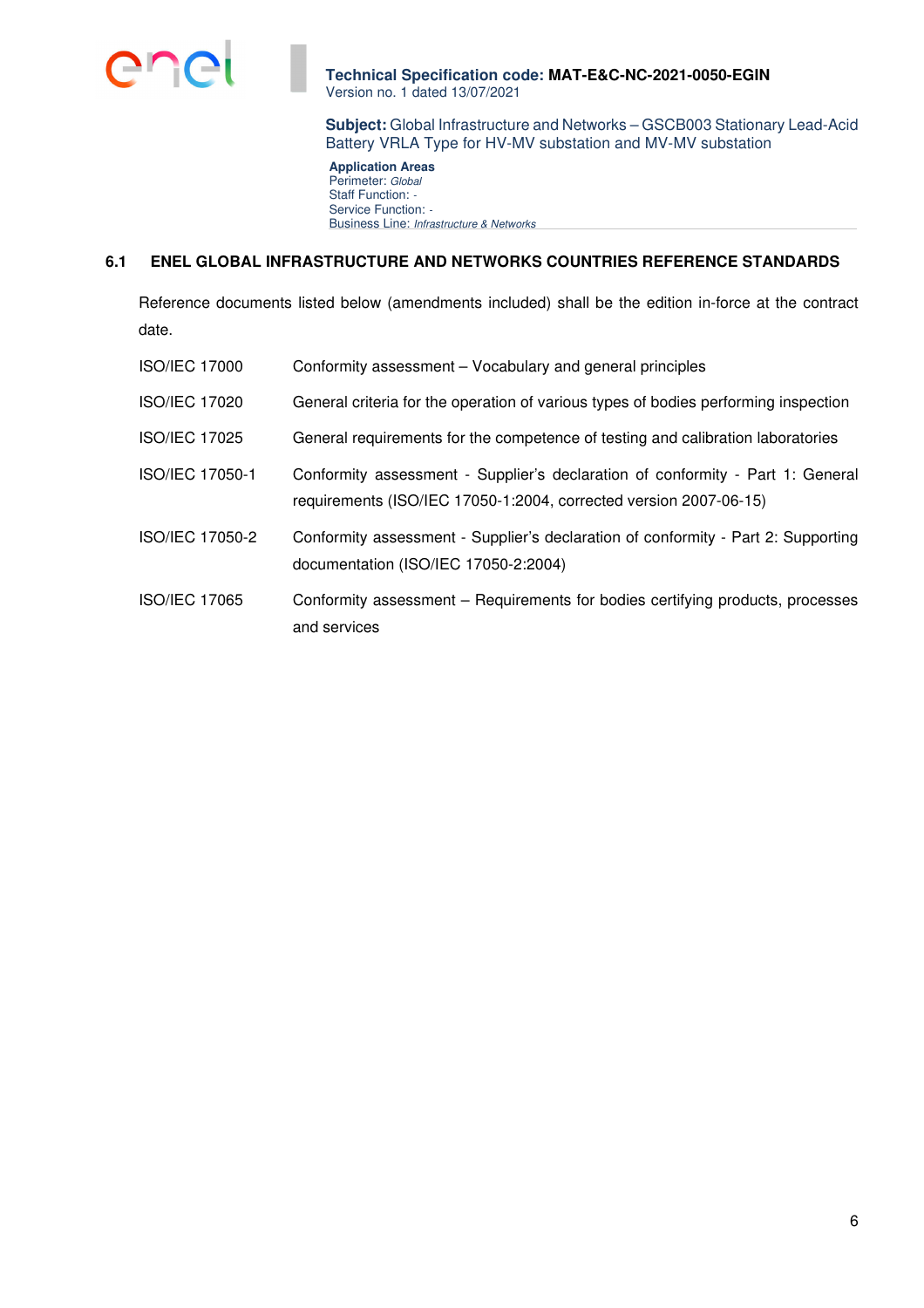

**Subject:** Global Infrastructure and Networks – GSCB003 Stationary Lead-Acid Battery VRLA Type for HV-MV substation and MV-MV substation

**Application Areas**  Perimeter: Global Staff Function: -Service Function: -Business Line: Infrastructure & Networks

## **6.1 ENEL GLOBAL INFRASTRUCTURE AND NETWORKS COUNTRIES REFERENCE STANDARDS**

Reference documents listed below (amendments included) shall be the edition in-force at the contract date.

| <b>ISO/IEC 17000</b> | Conformity assessment – Vocabulary and general principles                                                                                           |
|----------------------|-----------------------------------------------------------------------------------------------------------------------------------------------------|
| <b>ISO/IEC 17020</b> | General criteria for the operation of various types of bodies performing inspection                                                                 |
| <b>ISO/IEC 17025</b> | General requirements for the competence of testing and calibration laboratories                                                                     |
| ISO/IEC 17050-1      | Conformity assessment - Supplier's declaration of conformity - Part 1: General<br>requirements (ISO/IEC 17050-1:2004, corrected version 2007-06-15) |
| ISO/IEC 17050-2      | Conformity assessment - Supplier's declaration of conformity - Part 2: Supporting<br>documentation (ISO/IEC 17050-2:2004)                           |
| <b>ISO/IEC 17065</b> | Conformity assessment – Requirements for bodies certifying products, processes<br>and services                                                      |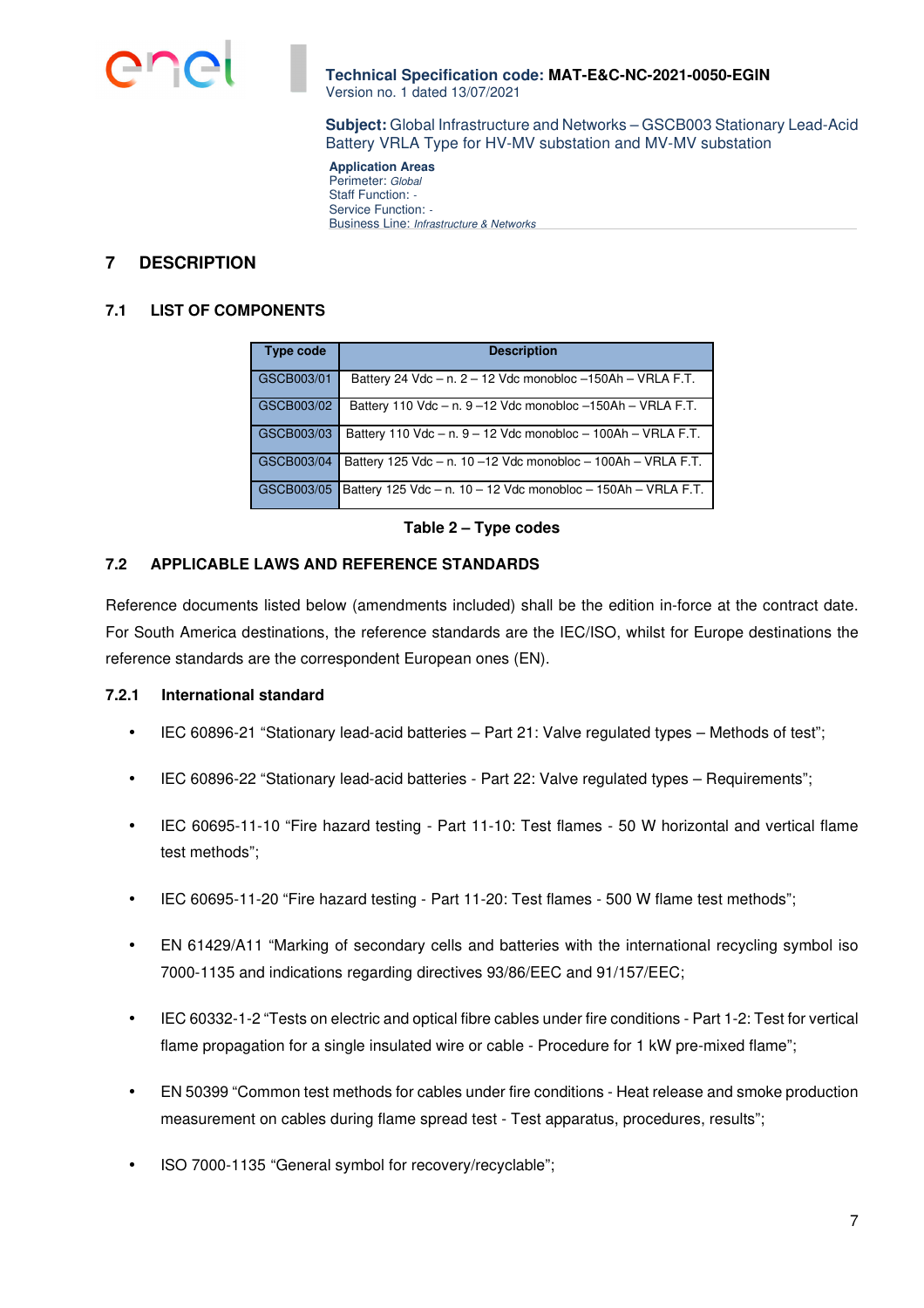

**Subject:** Global Infrastructure and Networks – GSCB003 Stationary Lead-Acid Battery VRLA Type for HV-MV substation and MV-MV substation

**Application Areas**  Perimeter: Global Staff Function: -Service Function: -Business Line: Infrastructure & Networks

# **7 DESCRIPTION**

#### **7.1 LIST OF COMPONENTS**

| <b>Type code</b> | <b>Description</b>                                                    |
|------------------|-----------------------------------------------------------------------|
|                  |                                                                       |
| GSCB003/01       | Battery 24 Vdc $-$ n. 2 $-$ 12 Vdc monobloc $-150$ Ah $-$ VRLA F.T.   |
| GSCB003/02       | Battery 110 Vdc $-$ n. 9 -12 Vdc monobloc $-150Ah - VRLA F.T.$        |
| GSCB003/03       | Battery 110 Vdc $-$ n. $9 - 12$ Vdc monobloc $- 100$ Ah $-$ VRLA F.T. |
| GSCB003/04       | Battery 125 Vdc $-$ n. 10 $-12$ Vdc monobloc $-$ 100Ah $-$ VRLA F.T.  |
| GSCB003/05       | Battery 125 Vdc - n. 10 - 12 Vdc monobloc - 150Ah - VRLA F.T.         |

#### **Table 2 – Type codes**

#### **7.2 APPLICABLE LAWS AND REFERENCE STANDARDS**

Reference documents listed below (amendments included) shall be the edition in-force at the contract date. For South America destinations, the reference standards are the IEC/ISO, whilst for Europe destinations the reference standards are the correspondent European ones (EN).

#### **7.2.1 International standard**

- IEC 60896-21 "Stationary lead-acid batteries Part 21: Valve regulated types Methods of test";
- IEC 60896-22 "Stationary lead-acid batteries Part 22: Valve regulated types Requirements";
- IEC 60695-11-10 "Fire hazard testing Part 11-10: Test flames 50 W horizontal and vertical flame test methods";
- IEC 60695-11-20 "Fire hazard testing Part 11-20: Test flames 500 W flame test methods";
- EN 61429/A11 "Marking of secondary cells and batteries with the international recycling symbol iso 7000-1135 and indications regarding directives 93/86/EEC and 91/157/EEC;
- IEC 60332-1-2 "Tests on electric and optical fibre cables under fire conditions Part 1-2: Test for vertical flame propagation for a single insulated wire or cable - Procedure for 1 kW pre-mixed flame";
- EN 50399 "Common test methods for cables under fire conditions Heat release and smoke production measurement on cables during flame spread test - Test apparatus, procedures, results";
- ISO 7000-1135 "General symbol for recovery/recyclable";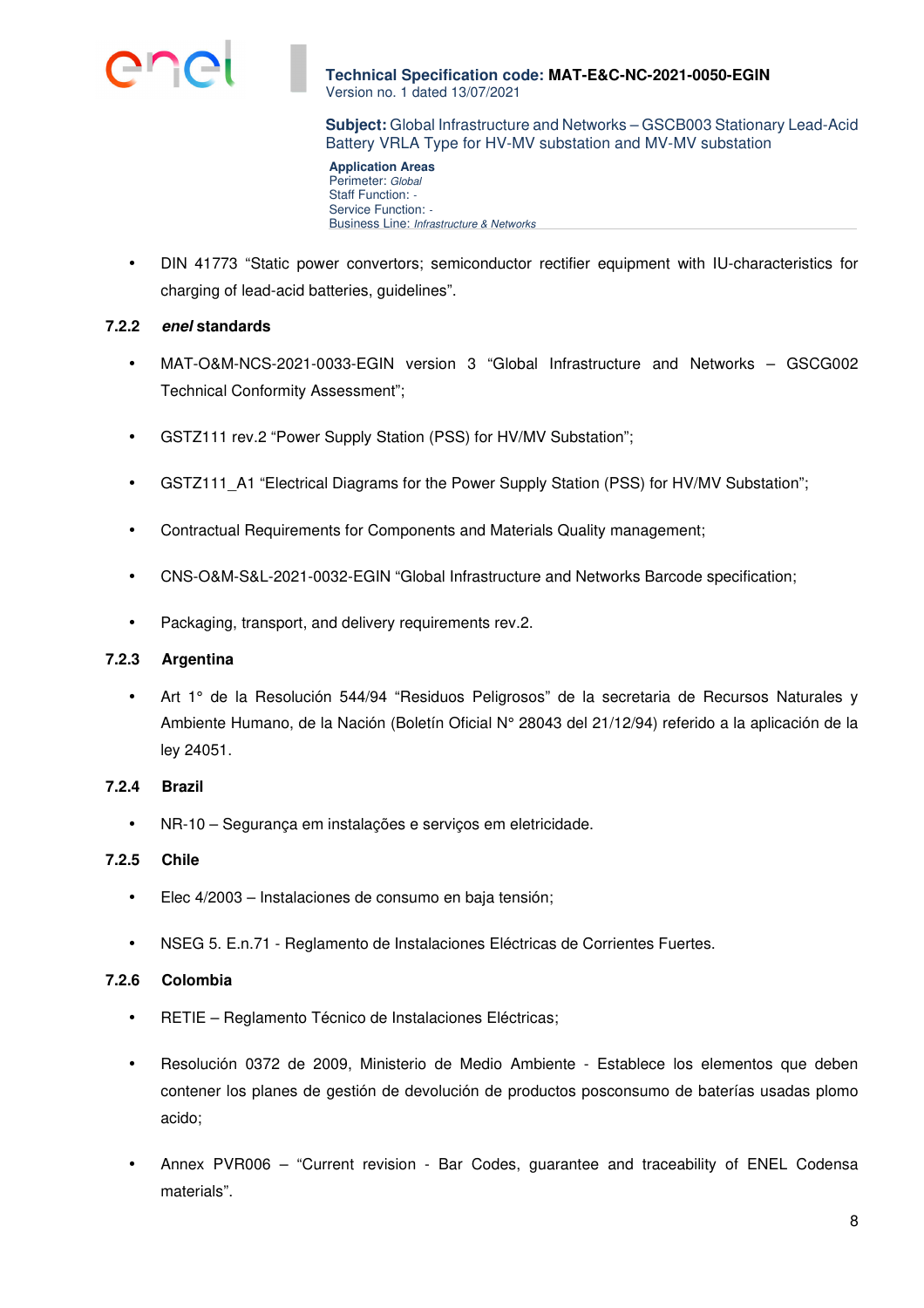

**Subject:** Global Infrastructure and Networks – GSCB003 Stationary Lead-Acid Battery VRLA Type for HV-MV substation and MV-MV substation

**Application Areas**  Perimeter: Global Staff Function: -Service Function: -Business Line: Infrastructure & Networks

• DIN 41773 "Static power convertors; semiconductor rectifier equipment with IU-characteristics for charging of lead-acid batteries, guidelines".

## **7.2.2 enel standards**

- MAT-O&M-NCS-2021-0033-EGIN version 3 "Global Infrastructure and Networks GSCG002 Technical Conformity Assessment";
- GSTZ111 rev.2 "Power Supply Station (PSS) for HV/MV Substation";
- GSTZ111\_A1 "Electrical Diagrams for the Power Supply Station (PSS) for HV/MV Substation";
- Contractual Requirements for Components and Materials Quality management;
- CNS-O&M-S&L-2021-0032-EGIN "Global Infrastructure and Networks Barcode specification;
- Packaging, transport, and delivery requirements rev.2.

### **7.2.3 Argentina**

Art 1° de la Resolución 544/94 "Residuos Peligrosos" de la secretaria de Recursos Naturales y Ambiente Humano, de la Nación (Boletín Oficial N° 28043 del 21/12/94) referido a la aplicación de la ley 24051.

#### **7.2.4 Brazil**

• NR-10 – Segurança em instalações e serviços em eletricidade.

## **7.2.5 Chile**

- Elec 4/2003 Instalaciones de consumo en baja tensión;
- NSEG 5. E.n.71 Reglamento de Instalaciones Eléctricas de Corrientes Fuertes.

## **7.2.6 Colombia**

- RETIE Reglamento Técnico de Instalaciones Eléctricas;
- Resolución 0372 de 2009, Ministerio de Medio Ambiente Establece los elementos que deben contener los planes de gestión de devolución de productos posconsumo de baterías usadas plomo acido;
- Annex PVR006 "Current revision Bar Codes, guarantee and traceability of ENEL Codensa materials".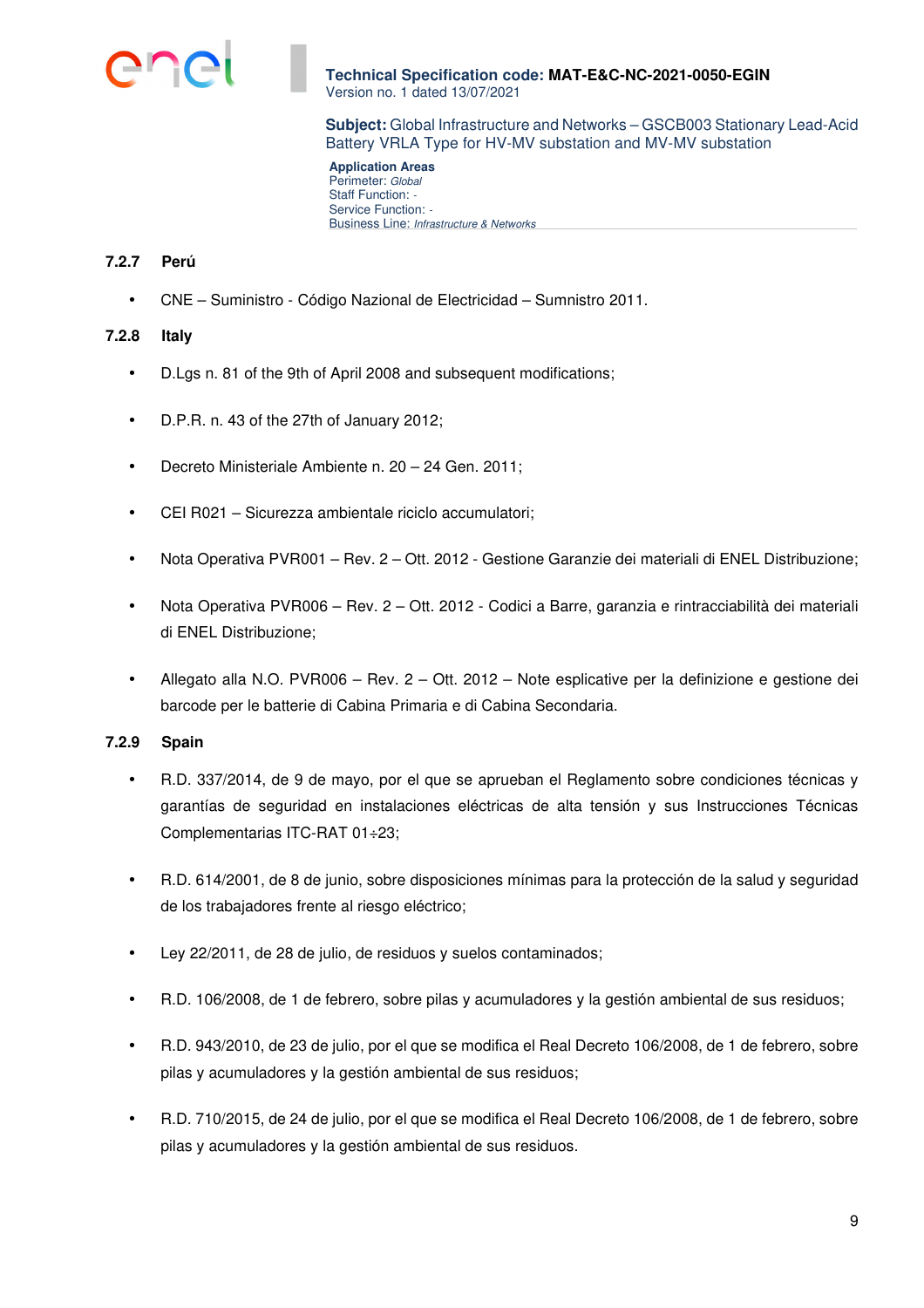

**Subject:** Global Infrastructure and Networks – GSCB003 Stationary Lead-Acid Battery VRLA Type for HV-MV substation and MV-MV substation

**Application Areas**  Perimeter: Global Staff Function: -Service Function: -Business Line: Infrastructure & Networks

## **7.2.7 Perú**

• CNE – Suministro - Código Nazional de Electricidad – Sumnistro 2011.

## **7.2.8 Italy**

- D.Lgs n. 81 of the 9th of April 2008 and subsequent modifications;
- D.P.R. n. 43 of the 27th of January 2012;
- Decreto Ministeriale Ambiente n. 20 24 Gen. 2011;
- CEI R021 Sicurezza ambientale riciclo accumulatori;
- Nota Operativa PVR001 Rev. 2 Ott. 2012 Gestione Garanzie dei materiali di ENEL Distribuzione;
- Nota Operativa PVR006 Rev. 2 Ott. 2012 Codici a Barre, garanzia e rintracciabilità dei materiali di ENEL Distribuzione;
- Allegato alla N.O. PVR006 Rev. 2 Ott. 2012 Note esplicative per la definizione e gestione dei barcode per le batterie di Cabina Primaria e di Cabina Secondaria.

## **7.2.9 Spain**

- R.D. 337/2014, de 9 de mayo, por el que se aprueban el Reglamento sobre condiciones técnicas y garantías de seguridad en instalaciones eléctricas de alta tensión y sus Instrucciones Técnicas Complementarias ITC-RAT 01÷23;
- R.D. 614/2001, de 8 de junio, sobre disposiciones mínimas para la protección de la salud y seguridad de los trabajadores frente al riesgo eléctrico;
- Ley 22/2011, de 28 de julio, de residuos y suelos contaminados;
- R.D. 106/2008, de 1 de febrero, sobre pilas y acumuladores y la gestión ambiental de sus residuos;
- R.D. 943/2010, de 23 de julio, por el que se modifica el Real Decreto 106/2008, de 1 de febrero, sobre pilas y acumuladores y la gestión ambiental de sus residuos;
- R.D. 710/2015, de 24 de julio, por el que se modifica el Real Decreto 106/2008, de 1 de febrero, sobre pilas y acumuladores y la gestión ambiental de sus residuos.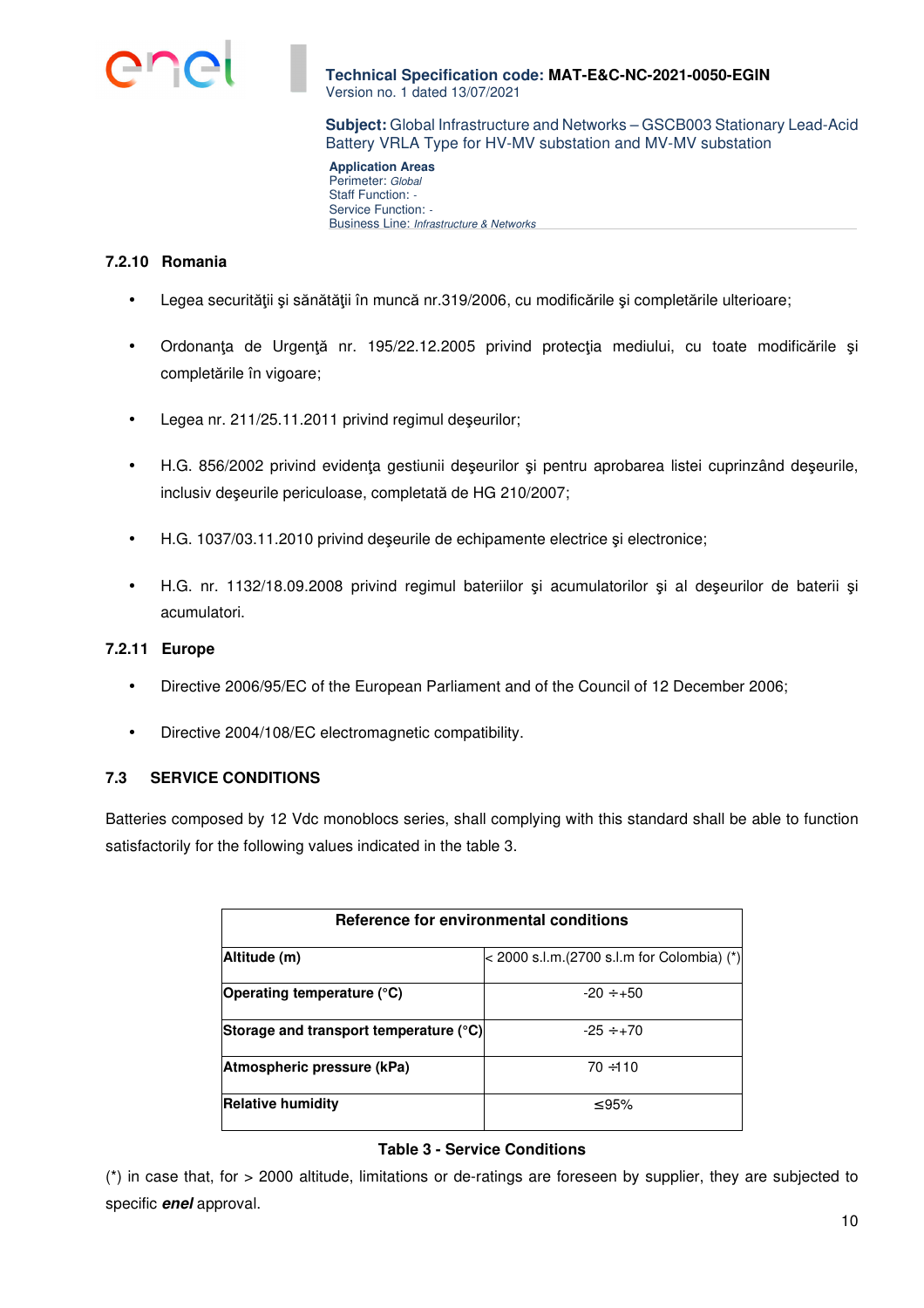

**Subject:** Global Infrastructure and Networks – GSCB003 Stationary Lead-Acid Battery VRLA Type for HV-MV substation and MV-MV substation

**Application Areas**  Perimeter: Global Staff Function: -Service Function: -Business Line: Infrastructure & Networks

## **7.2.10 Romania**

- Legea securității și sănătății în muncă nr.319/2006, cu modificările și completările ulterioare;
- Ordonanţa de Urgenţă nr. 195/22.12.2005 privind protecţia mediului, cu toate modificările şi completările în vigoare;
- Legea nr. 211/25.11.2011 privind regimul deşeurilor;
- H.G. 856/2002 privind evidenţa gestiunii deşeurilor şi pentru aprobarea listei cuprinzând deşeurile, inclusiv deşeurile periculoase, completată de HG 210/2007;
- H.G. 1037/03.11.2010 privind deşeurile de echipamente electrice şi electronice;
- H.G. nr. 1132/18.09.2008 privind regimul bateriilor şi acumulatorilor şi al deşeurilor de baterii şi acumulatori.

### **7.2.11 Europe**

- Directive 2006/95/EC of the European Parliament and of the Council of 12 December 2006;
- Directive 2004/108/EC electromagnetic compatibility.

## **7.3 SERVICE CONDITIONS**

Batteries composed by 12 Vdc monoblocs series, shall complying with this standard shall be able to function satisfactorily for the following values indicated in the table 3.

| Reference for environmental conditions |                                            |  |  |
|----------------------------------------|--------------------------------------------|--|--|
| Altitude (m)                           | < 2000 s.l.m.(2700 s.l.m for Colombia) (*) |  |  |
| Operating temperature (°C)             | $-20 \div +50$                             |  |  |
| Storage and transport temperature (°C) | $-25 \div +70$                             |  |  |
| Atmospheric pressure (kPa)             | $70 + 110$                                 |  |  |
| <b>Relative humidity</b>               | ≤ 95%                                      |  |  |

## **Table 3 - Service Conditions**

(\*) in case that, for > 2000 altitude, limitations or de-ratings are foreseen by supplier, they are subjected to specific **enel** approval.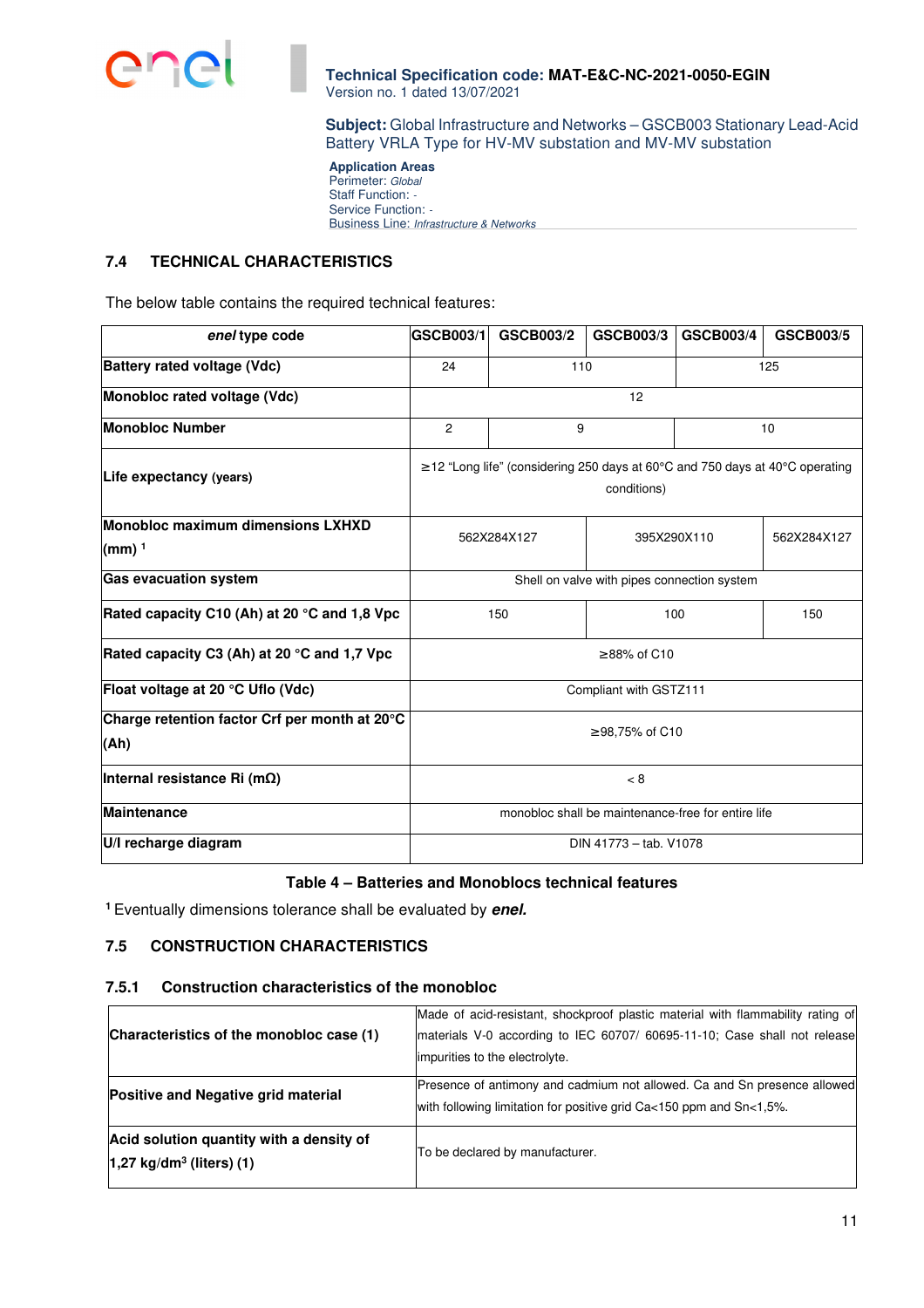

**Subject:** Global Infrastructure and Networks – GSCB003 Stationary Lead-Acid Battery VRLA Type for HV-MV substation and MV-MV substation

**Application Areas**  Perimeter: Global Staff Function: -Service Function: -Business Line: Infrastructure & Networks

#### **7.4 TECHNICAL CHARACTERISTICS**

The below table contains the required technical features:

| enel type code                                        | GSCB003/1              | <b>GSCB003/2</b>                                                                   | <b>GSCB003/3</b>                                   | <b>GSCB003/4</b> | <b>GSCB003/5</b> |
|-------------------------------------------------------|------------------------|------------------------------------------------------------------------------------|----------------------------------------------------|------------------|------------------|
| Battery rated voltage (Vdc)                           | 24                     | 110<br>125                                                                         |                                                    |                  |                  |
| Monobloc rated voltage (Vdc)                          |                        |                                                                                    | 12                                                 |                  |                  |
| <b>Monobloc Number</b>                                | $\overline{c}$         | 9                                                                                  |                                                    |                  | 10               |
| Life expectancy (years)                               |                        | $\geq$ 12 "Long life" (considering 250 days at 60°C and 750 days at 40°C operating | conditions)                                        |                  |                  |
| Monobloc maximum dimensions LXHXD<br>(mm) $1$         |                        | 562X284X127                                                                        | 395X290X110                                        |                  | 562X284X127      |
| <b>Gas evacuation system</b>                          |                        |                                                                                    | Shell on valve with pipes connection system        |                  |                  |
| Rated capacity C10 (Ah) at 20 °C and 1,8 Vpc          |                        | 150                                                                                | 100                                                |                  | 150              |
| Rated capacity C3 (Ah) at 20 °C and 1,7 Vpc           |                        |                                                                                    | $\geq$ 88% of C10                                  |                  |                  |
| Float voltage at 20 °C Uflo (Vdc)                     | Compliant with GSTZ111 |                                                                                    |                                                    |                  |                  |
| Charge retention factor Crf per month at 20°C<br>(Ah) | ≥ 98,75% of C10        |                                                                                    |                                                    |                  |                  |
| Internal resistance Ri (m $\Omega$ )                  |                        |                                                                                    | < 8                                                |                  |                  |
| <b>Maintenance</b>                                    |                        |                                                                                    | monobloc shall be maintenance-free for entire life |                  |                  |
| U/I recharge diagram                                  |                        |                                                                                    | DIN 41773 - tab. V1078                             |                  |                  |

## **Table 4 – Batteries and Monoblocs technical features**

**<sup>1</sup>** Eventually dimensions tolerance shall be evaluated by **enel.**

# **7.5 CONSTRUCTION CHARACTERISTICS**

#### **7.5.1 Construction characteristics of the monobloc**

| Characteristics of the monobloc case (1)                                           | Made of acid-resistant, shockproof plastic material with flammability rating of<br>materials V-0 according to IEC 60707/ 60695-11-10; Case shall not release<br>limpurities to the electrolyte. |  |  |
|------------------------------------------------------------------------------------|-------------------------------------------------------------------------------------------------------------------------------------------------------------------------------------------------|--|--|
| Positive and Negative grid material                                                | Presence of antimony and cadmium not allowed. Ca and Sn presence allowed<br>with following limitation for positive grid Ca<150 ppm and Sn<1,5%.                                                 |  |  |
| Acid solution quantity with a density of<br>$1,27$ kg/dm <sup>3</sup> (liters) (1) | To be declared by manufacturer.                                                                                                                                                                 |  |  |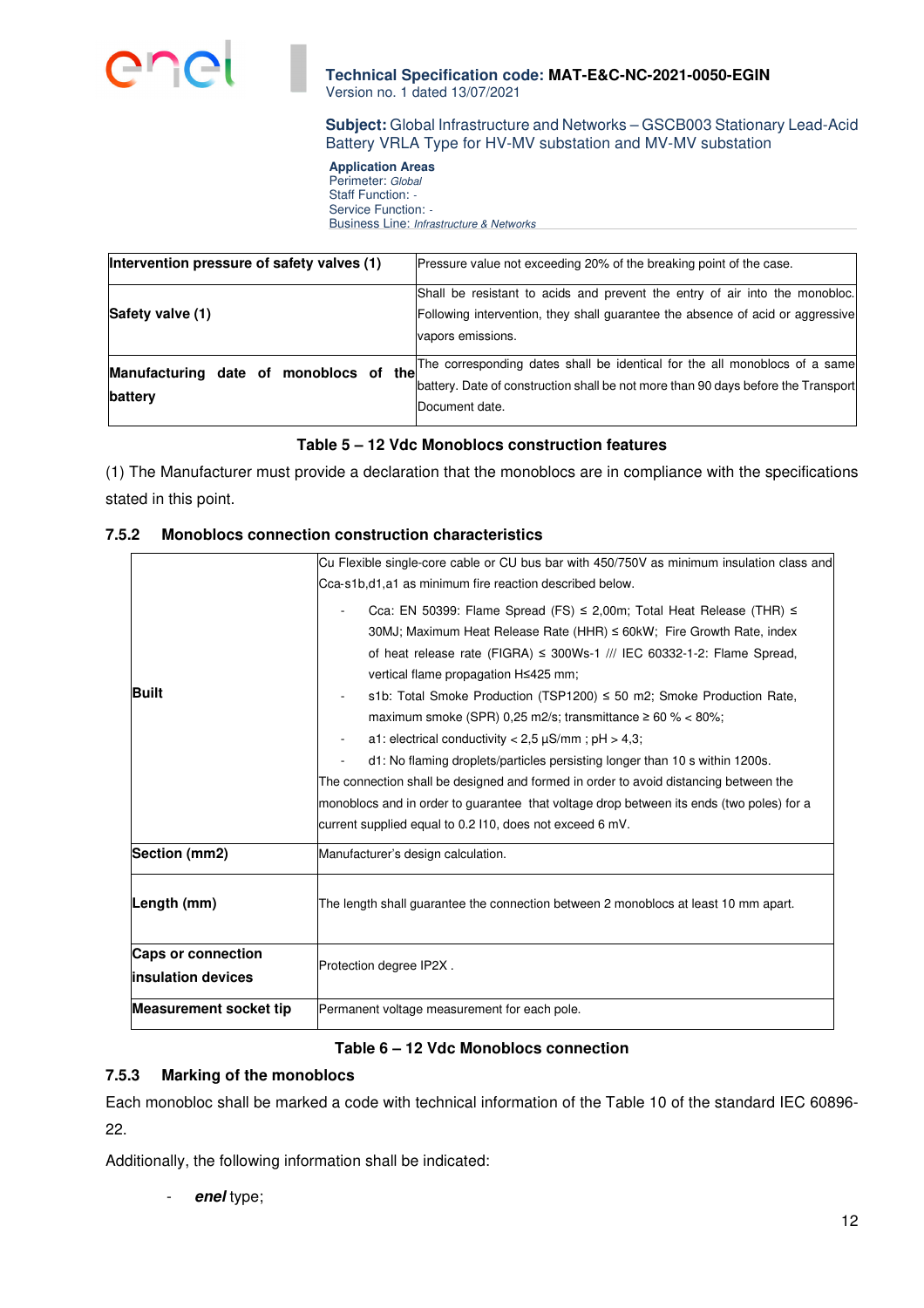

## **Subject:** Global Infrastructure and Networks – GSCB003 Stationary Lead-Acid Battery VRLA Type for HV-MV substation and MV-MV substation

**Application Areas**  Perimeter: Global Staff Function: -Service Function: -Business Line: Infrastructure & Networks

| Intervention pressure of safety valves (1)           | Pressure value not exceeding 20% of the breaking point of the case.                                                                                                                |
|------------------------------------------------------|------------------------------------------------------------------------------------------------------------------------------------------------------------------------------------|
| Safety valve (1)                                     | Shall be resistant to acids and prevent the entry of air into the monobloc.<br>Following intervention, they shall guarantee the absence of acid or aggressive<br>vapors emissions. |
| the<br>Manufacturing date of monoblocs of<br>battery | The corresponding dates shall be identical for the all monoblocs of a same<br>battery. Date of construction shall be not more than 90 days before the Transport<br>Document date.  |

## **Table 5 – 12 Vdc Monoblocs construction features**

(1) The Manufacturer must provide a declaration that the monoblocs are in compliance with the specifications stated in this point.

## **7.5.2 Monoblocs connection construction characteristics**

|                               | Cu Flexible single-core cable or CU bus bar with 450/750V as minimum insulation class and                                                                                                                                                                                                                                                                                                                                                                                                                                                                                                                                                                                                                                                                                                                                           |  |  |
|-------------------------------|-------------------------------------------------------------------------------------------------------------------------------------------------------------------------------------------------------------------------------------------------------------------------------------------------------------------------------------------------------------------------------------------------------------------------------------------------------------------------------------------------------------------------------------------------------------------------------------------------------------------------------------------------------------------------------------------------------------------------------------------------------------------------------------------------------------------------------------|--|--|
|                               | Cca-s1b,d1,a1 as minimum fire reaction described below.                                                                                                                                                                                                                                                                                                                                                                                                                                                                                                                                                                                                                                                                                                                                                                             |  |  |
| <b>Built</b>                  | Cca: EN 50399: Flame Spread (FS) $\leq$ 2,00m; Total Heat Release (THR) $\leq$<br>30MJ; Maximum Heat Release Rate (HHR) $\leq$ 60kW; Fire Growth Rate, index<br>of heat release rate (FIGRA) $\leq$ 300Ws-1 /// IEC 60332-1-2: Flame Spread,<br>vertical flame propagation H≤425 mm;<br>s1b: Total Smoke Production (TSP1200) $\leq$ 50 m2; Smoke Production Rate,<br>maximum smoke (SPR) 0,25 m2/s; transmittance $\geq 60$ % < 80%;<br>a1: electrical conductivity $< 2.5 \mu S/mm$ ; pH $> 4.3$ ;<br>d1: No flaming droplets/particles persisting longer than 10 s within 1200s.<br>The connection shall be designed and formed in order to avoid distancing between the<br>monoblocs and in order to guarantee that voltage drop between its ends (two poles) for a<br>current supplied equal to 0.2 I10, does not exceed 6 mV. |  |  |
| Section (mm2)                 | Manufacturer's design calculation.                                                                                                                                                                                                                                                                                                                                                                                                                                                                                                                                                                                                                                                                                                                                                                                                  |  |  |
|                               |                                                                                                                                                                                                                                                                                                                                                                                                                                                                                                                                                                                                                                                                                                                                                                                                                                     |  |  |
| Length (mm)                   | The length shall guarantee the connection between 2 monoblocs at least 10 mm apart.                                                                                                                                                                                                                                                                                                                                                                                                                                                                                                                                                                                                                                                                                                                                                 |  |  |
| <b>Caps or connection</b>     |                                                                                                                                                                                                                                                                                                                                                                                                                                                                                                                                                                                                                                                                                                                                                                                                                                     |  |  |
| linsulation devices           | Protection degree IP2X.                                                                                                                                                                                                                                                                                                                                                                                                                                                                                                                                                                                                                                                                                                                                                                                                             |  |  |
| <b>Measurement socket tip</b> | Permanent voltage measurement for each pole.                                                                                                                                                                                                                                                                                                                                                                                                                                                                                                                                                                                                                                                                                                                                                                                        |  |  |

# **Table 6 – 12 Vdc Monoblocs connection**

# **7.5.3 Marking of the monoblocs**

Each monobloc shall be marked a code with technical information of the Table 10 of the standard IEC 60896- 22.

Additionally, the following information shall be indicated:

- **enel** type;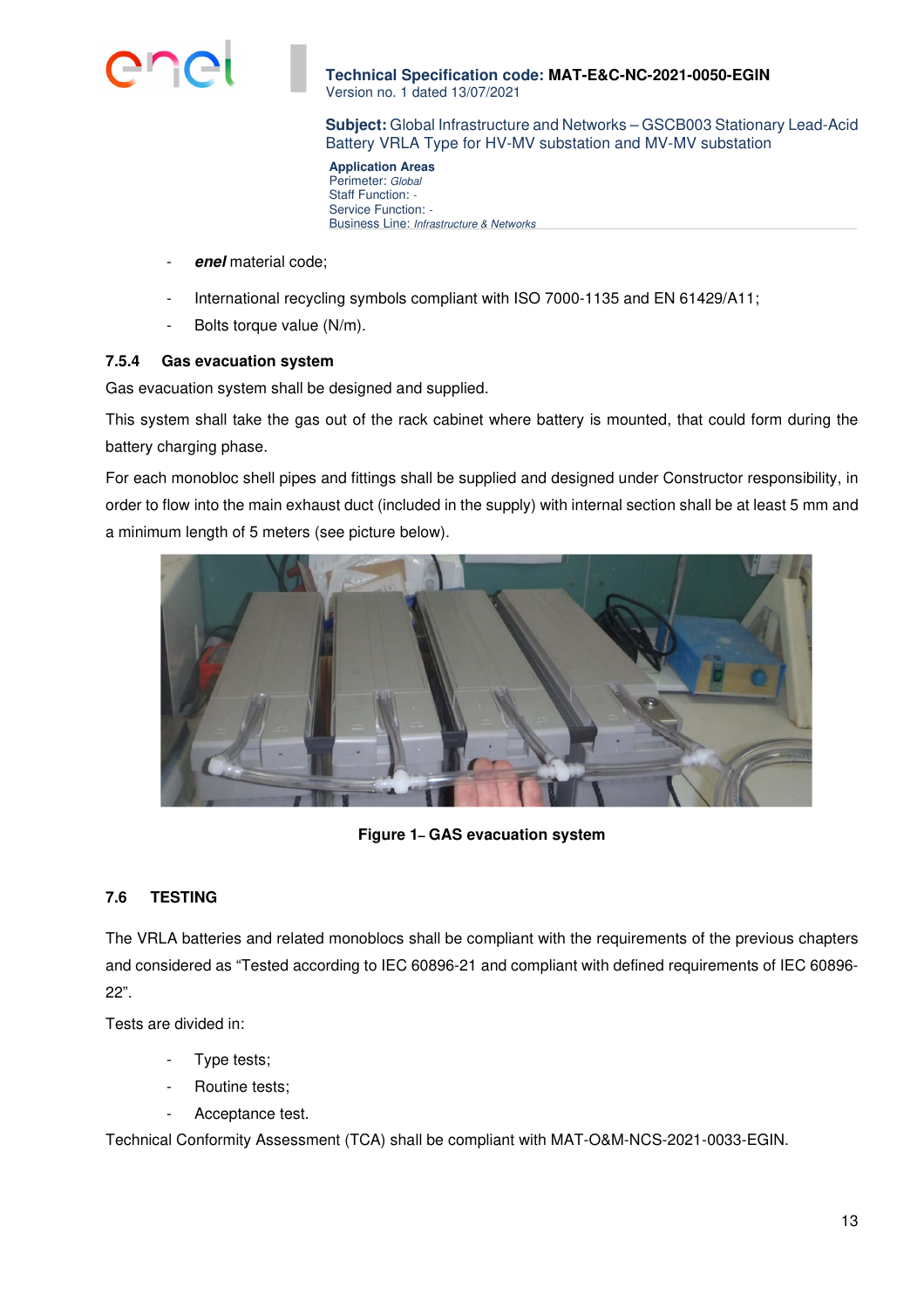

**Subject:** Global Infrastructure and Networks – GSCB003 Stationary Lead-Acid Battery VRLA Type for HV-MV substation and MV-MV substation

**Application Areas**  Perimeter: Global Staff Function: -Service Function: -Business Line: Infrastructure & Networks

- **enel** material code;
- International recycling symbols compliant with ISO 7000-1135 and EN 61429/A11;
- Bolts torque value (N/m).

#### **7.5.4 Gas evacuation system**

Gas evacuation system shall be designed and supplied.

This system shall take the gas out of the rack cabinet where battery is mounted, that could form during the battery charging phase.

For each monobloc shell pipes and fittings shall be supplied and designed under Constructor responsibility, in order to flow into the main exhaust duct (included in the supply) with internal section shall be at least 5 mm and a minimum length of 5 meters (see picture below).



**Figure 1– GAS evacuation system** 

## **7.6 TESTING**

The VRLA batteries and related monoblocs shall be compliant with the requirements of the previous chapters and considered as "Tested according to IEC 60896-21 and compliant with defined requirements of IEC 60896- 22".

Tests are divided in:

- Type tests;
- Routine tests;
- Acceptance test.

Technical Conformity Assessment (TCA) shall be compliant with MAT-O&M-NCS-2021-0033-EGIN.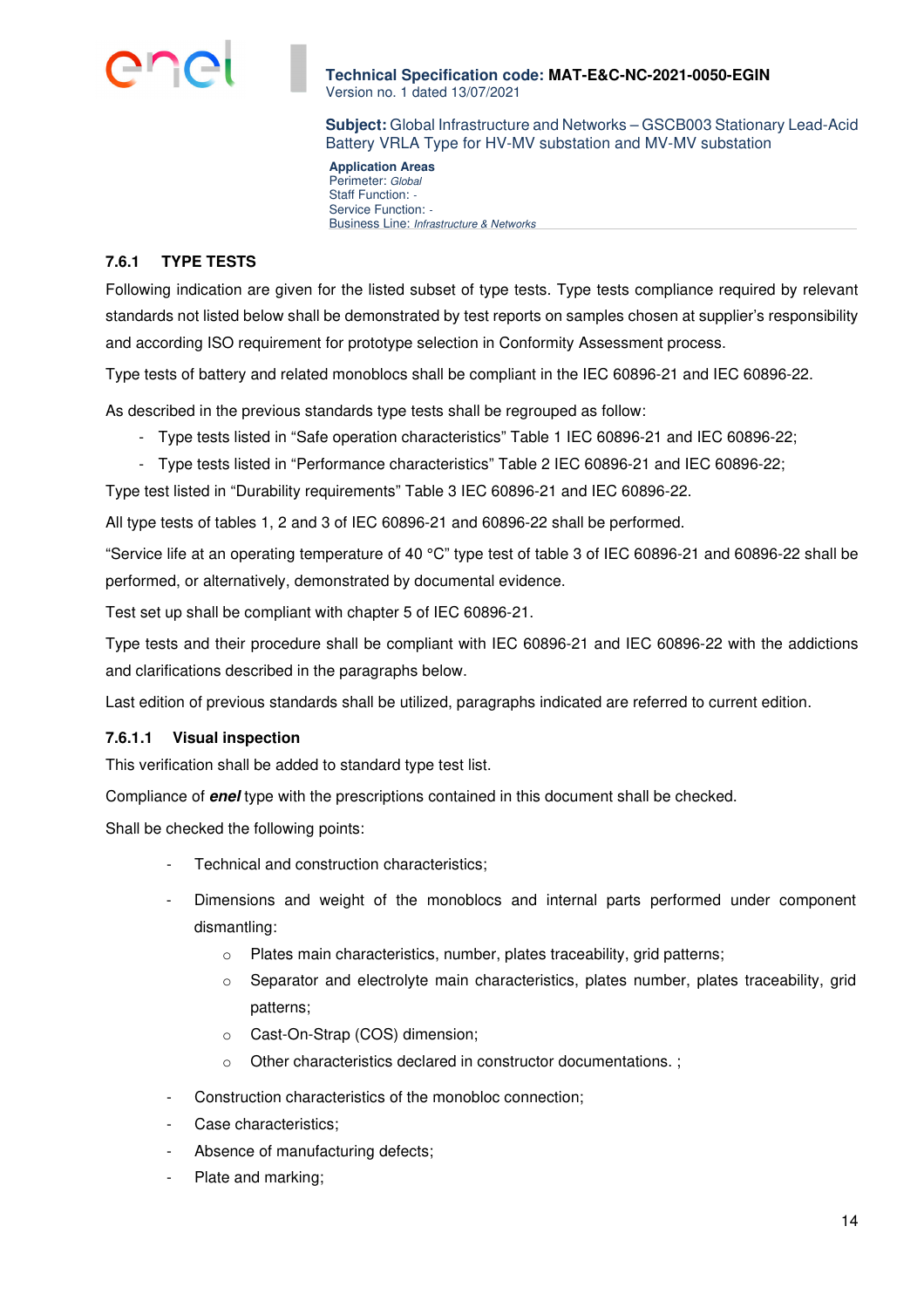

**Subject:** Global Infrastructure and Networks – GSCB003 Stationary Lead-Acid Battery VRLA Type for HV-MV substation and MV-MV substation

**Application Areas**  Perimeter: Global Staff Function: -Service Function: -Business Line: Infrastructure & Networks

## **7.6.1 TYPE TESTS**

Following indication are given for the listed subset of type tests. Type tests compliance required by relevant standards not listed below shall be demonstrated by test reports on samples chosen at supplier's responsibility and according ISO requirement for prototype selection in Conformity Assessment process.

Type tests of battery and related monoblocs shall be compliant in the IEC 60896-21 and IEC 60896-22.

As described in the previous standards type tests shall be regrouped as follow:

- Type tests listed in "Safe operation characteristics" Table 1 IEC 60896-21 and IEC 60896-22;
- Type tests listed in "Performance characteristics" Table 2 IEC 60896-21 and IEC 60896-22;

Type test listed in "Durability requirements" Table 3 IEC 60896-21 and IEC 60896-22.

All type tests of tables 1, 2 and 3 of IEC 60896-21 and 60896-22 shall be performed.

"Service life at an operating temperature of 40 °C" type test of table 3 of IEC 60896-21 and 60896-22 shall be performed, or alternatively, demonstrated by documental evidence.

Test set up shall be compliant with chapter 5 of IEC 60896-21.

Type tests and their procedure shall be compliant with IEC 60896-21 and IEC 60896-22 with the addictions and clarifications described in the paragraphs below.

Last edition of previous standards shall be utilized, paragraphs indicated are referred to current edition.

## **7.6.1.1 Visual inspection**

This verification shall be added to standard type test list.

Compliance of **enel** type with the prescriptions contained in this document shall be checked.

Shall be checked the following points:

- Technical and construction characteristics;
- Dimensions and weight of the monoblocs and internal parts performed under component dismantling:
	- o Plates main characteristics, number, plates traceability, grid patterns;
	- $\circ$  Separator and electrolyte main characteristics, plates number, plates traceability, grid patterns;
	- o Cast-On-Strap (COS) dimension;
	- o Other characteristics declared in constructor documentations. ;
- Construction characteristics of the monobloc connection;
- Case characteristics;
- Absence of manufacturing defects;
- Plate and marking;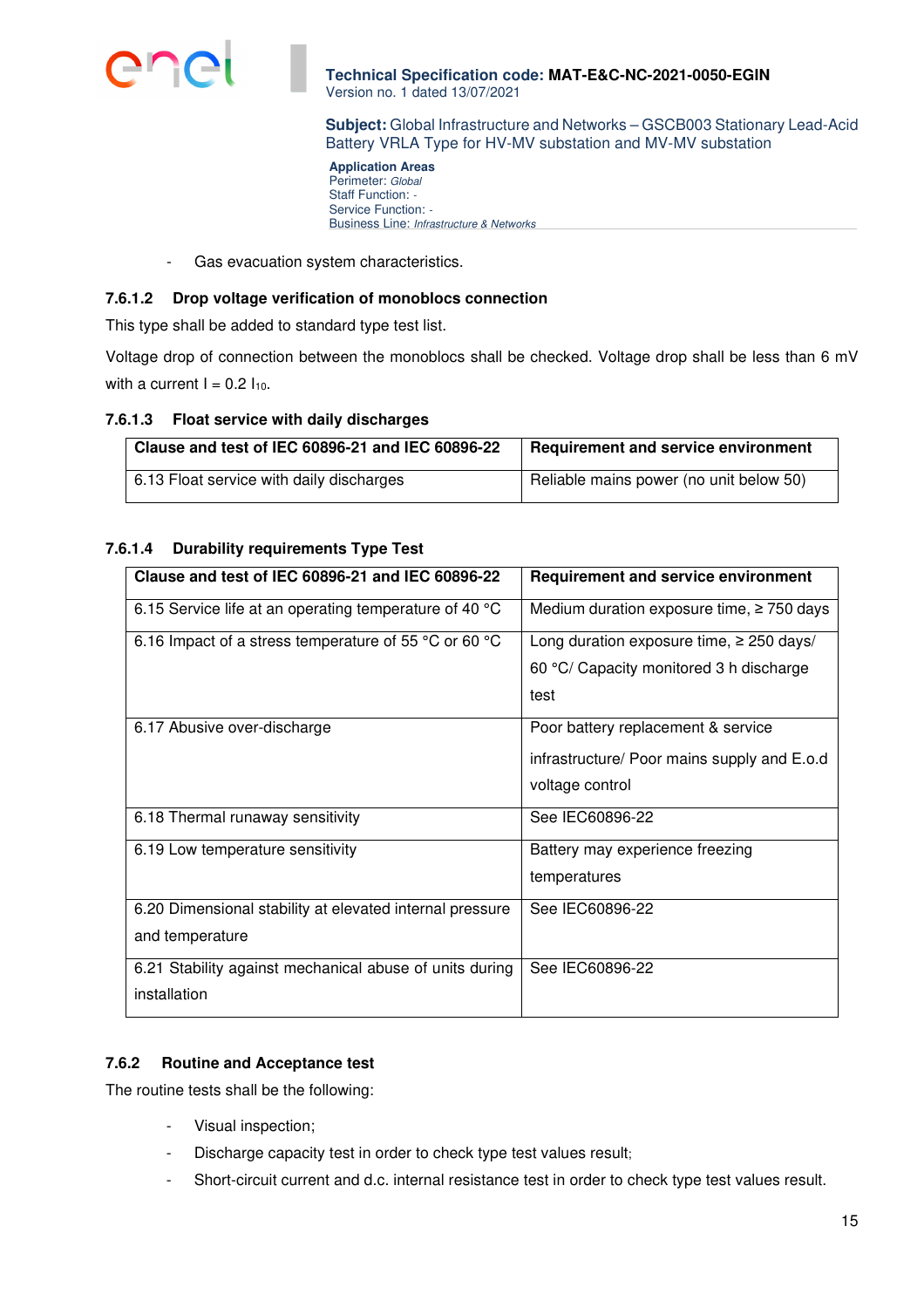

**Subject:** Global Infrastructure and Networks – GSCB003 Stationary Lead-Acid Battery VRLA Type for HV-MV substation and MV-MV substation

**Application Areas**  Perimeter: Global Staff Function: -Service Function: -Business Line: Infrastructure & Networks

- Gas evacuation system characteristics.

## **7.6.1.2 Drop voltage verification of monoblocs connection**

This type shall be added to standard type test list.

Voltage drop of connection between the monoblocs shall be checked. Voltage drop shall be less than 6 mV with a current  $I = 0.2 I_{10}$ .

## **7.6.1.3 Float service with daily discharges**

| Clause and test of IEC 60896-21 and IEC 60896-22 | <b>Requirement and service environment</b> |
|--------------------------------------------------|--------------------------------------------|
| 6.13 Float service with daily discharges         | Reliable mains power (no unit below 50)    |

## **7.6.1.4 Durability requirements Type Test**

| Clause and test of IEC 60896-21 and IEC 60896-22         | <b>Requirement and service environment</b>     |
|----------------------------------------------------------|------------------------------------------------|
| 6.15 Service life at an operating temperature of 40 °C   | Medium duration exposure time, $\geq$ 750 days |
| 6.16 Impact of a stress temperature of 55 °C or 60 °C    | Long duration exposure time, $\geq 250$ days/  |
|                                                          | 60 °C/ Capacity monitored 3 h discharge        |
|                                                          | test                                           |
| 6.17 Abusive over-discharge                              | Poor battery replacement & service             |
|                                                          | infrastructure/ Poor mains supply and E.o.d    |
|                                                          | voltage control                                |
| 6.18 Thermal runaway sensitivity                         | See IEC60896-22                                |
| 6.19 Low temperature sensitivity                         | Battery may experience freezing                |
|                                                          | temperatures                                   |
| 6.20 Dimensional stability at elevated internal pressure | See IEC60896-22                                |
| and temperature                                          |                                                |
| 6.21 Stability against mechanical abuse of units during  | See IEC60896-22                                |
| installation                                             |                                                |

## **7.6.2 Routine and Acceptance test**

The routine tests shall be the following:

- Visual inspection;
- Discharge capacity test in order to check type test values result;
- Short-circuit current and d.c. internal resistance test in order to check type test values result.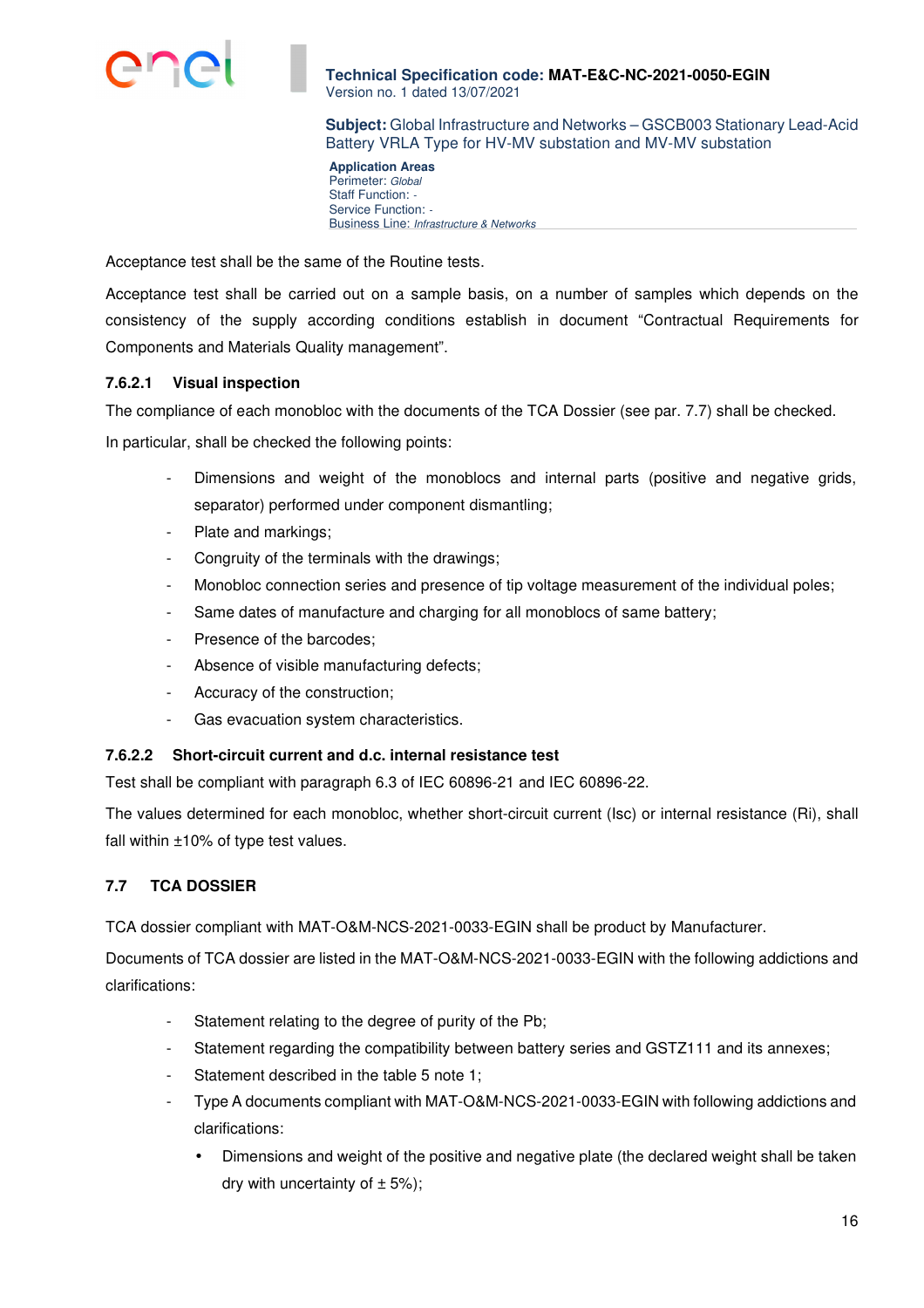

**Subject:** Global Infrastructure and Networks – GSCB003 Stationary Lead-Acid Battery VRLA Type for HV-MV substation and MV-MV substation

**Application Areas**  Perimeter: Global Staff Function: -Service Function: -Business Line: Infrastructure & Networks

Acceptance test shall be the same of the Routine tests.

Acceptance test shall be carried out on a sample basis, on a number of samples which depends on the consistency of the supply according conditions establish in document "Contractual Requirements for Components and Materials Quality management".

## **7.6.2.1 Visual inspection**

The compliance of each monobloc with the documents of the TCA Dossier (see par. 7.7) shall be checked.

In particular, shall be checked the following points:

- Dimensions and weight of the monoblocs and internal parts (positive and negative grids, separator) performed under component dismantling;
- Plate and markings;
- Congruity of the terminals with the drawings:
- Monobloc connection series and presence of tip voltage measurement of the individual poles;
- Same dates of manufacture and charging for all monoblocs of same battery;
- Presence of the barcodes;
- Absence of visible manufacturing defects;
- Accuracy of the construction;
- Gas evacuation system characteristics.

## **7.6.2.2 Short-circuit current and d.c. internal resistance test**

Test shall be compliant with paragraph 6.3 of IEC 60896-21 and IEC 60896-22.

The values determined for each monobloc, whether short-circuit current (Isc) or internal resistance (Ri), shall fall within ±10% of type test values.

# **7.7 TCA DOSSIER**

TCA dossier compliant with MAT-O&M-NCS-2021-0033-EGIN shall be product by Manufacturer.

Documents of TCA dossier are listed in the MAT-O&M-NCS-2021-0033-EGIN with the following addictions and clarifications:

- Statement relating to the degree of purity of the Pb;
- Statement regarding the compatibility between battery series and GSTZ111 and its annexes;
- Statement described in the table 5 note 1;
- Type A documents compliant with MAT-O&M-NCS-2021-0033-EGIN with following addictions and clarifications:
	- Dimensions and weight of the positive and negative plate (the declared weight shall be taken dry with uncertainty of  $\pm$  5%);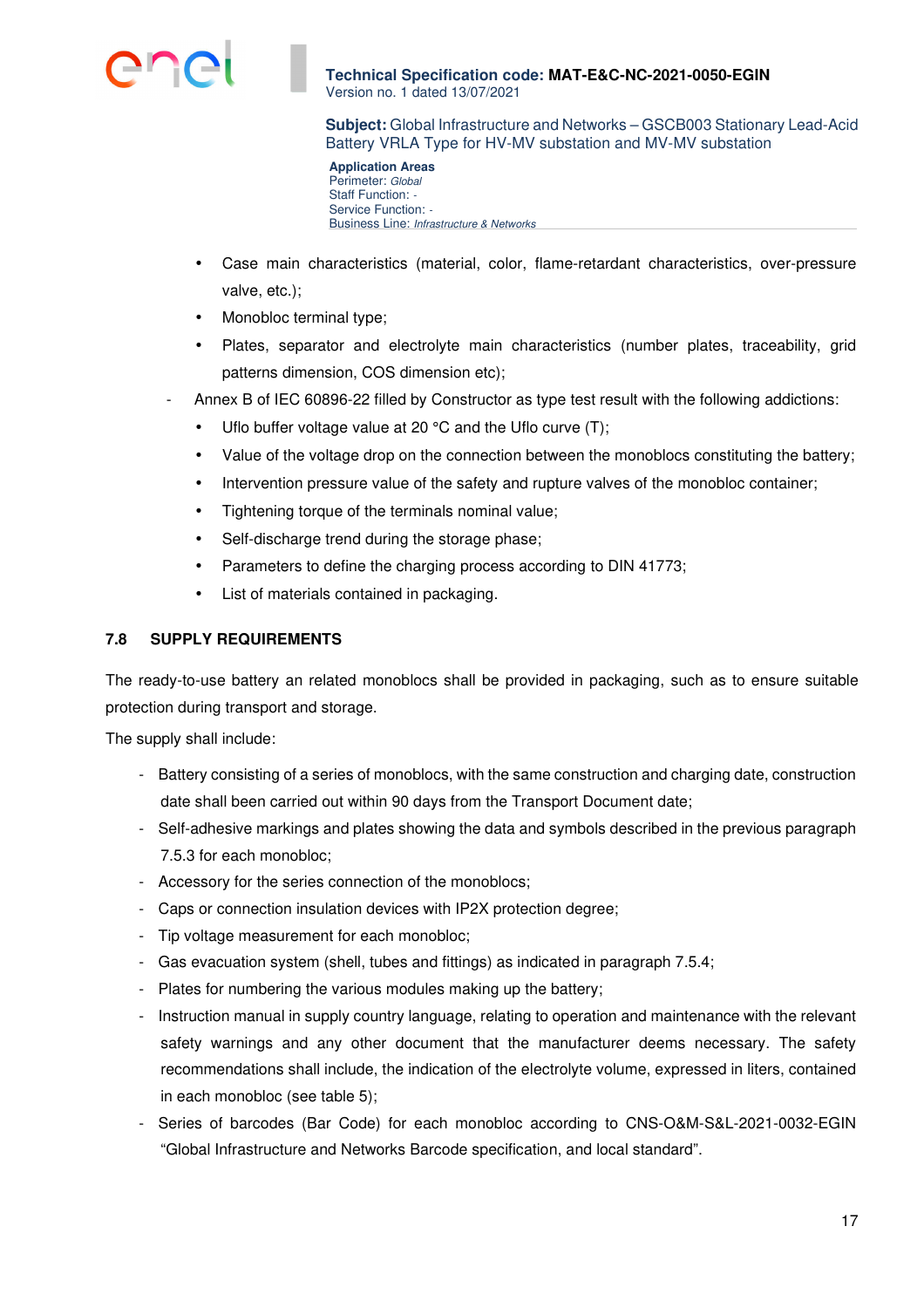

**Subject:** Global Infrastructure and Networks – GSCB003 Stationary Lead-Acid Battery VRLA Type for HV-MV substation and MV-MV substation

**Application Areas**  Perimeter: Global Staff Function: -Service Function: -Business Line: Infrastructure & Networks

- Case main characteristics (material, color, flame-retardant characteristics, over-pressure valve, etc.);
- Monobloc terminal type;
- Plates, separator and electrolyte main characteristics (number plates, traceability, grid patterns dimension, COS dimension etc);
- Annex B of IEC 60896-22 filled by Constructor as type test result with the following addictions:
	- Uflo buffer voltage value at 20 °C and the Uflo curve (T);
	- Value of the voltage drop on the connection between the monoblocs constituting the battery;
	- Intervention pressure value of the safety and rupture valves of the monobloc container;
	- Tightening torque of the terminals nominal value;
	- Self-discharge trend during the storage phase;
	- Parameters to define the charging process according to DIN 41773;
	- List of materials contained in packaging.

# **7.8 SUPPLY REQUIREMENTS**

The ready-to-use battery an related monoblocs shall be provided in packaging, such as to ensure suitable protection during transport and storage.

The supply shall include:

- Battery consisting of a series of monoblocs, with the same construction and charging date, construction date shall been carried out within 90 days from the Transport Document date;
- Self-adhesive markings and plates showing the data and symbols described in the previous paragraph 7.5.3 for each monobloc;
- Accessory for the series connection of the monoblocs;
- Caps or connection insulation devices with IP2X protection degree;
- Tip voltage measurement for each monobloc;
- Gas evacuation system (shell, tubes and fittings) as indicated in paragraph 7.5.4;
- Plates for numbering the various modules making up the battery;
- Instruction manual in supply country language, relating to operation and maintenance with the relevant safety warnings and any other document that the manufacturer deems necessary. The safety recommendations shall include, the indication of the electrolyte volume, expressed in liters, contained in each monobloc (see table 5);
- Series of barcodes (Bar Code) for each monobloc according to CNS-O&M-S&L-2021-0032-EGIN "Global Infrastructure and Networks Barcode specification, and local standard".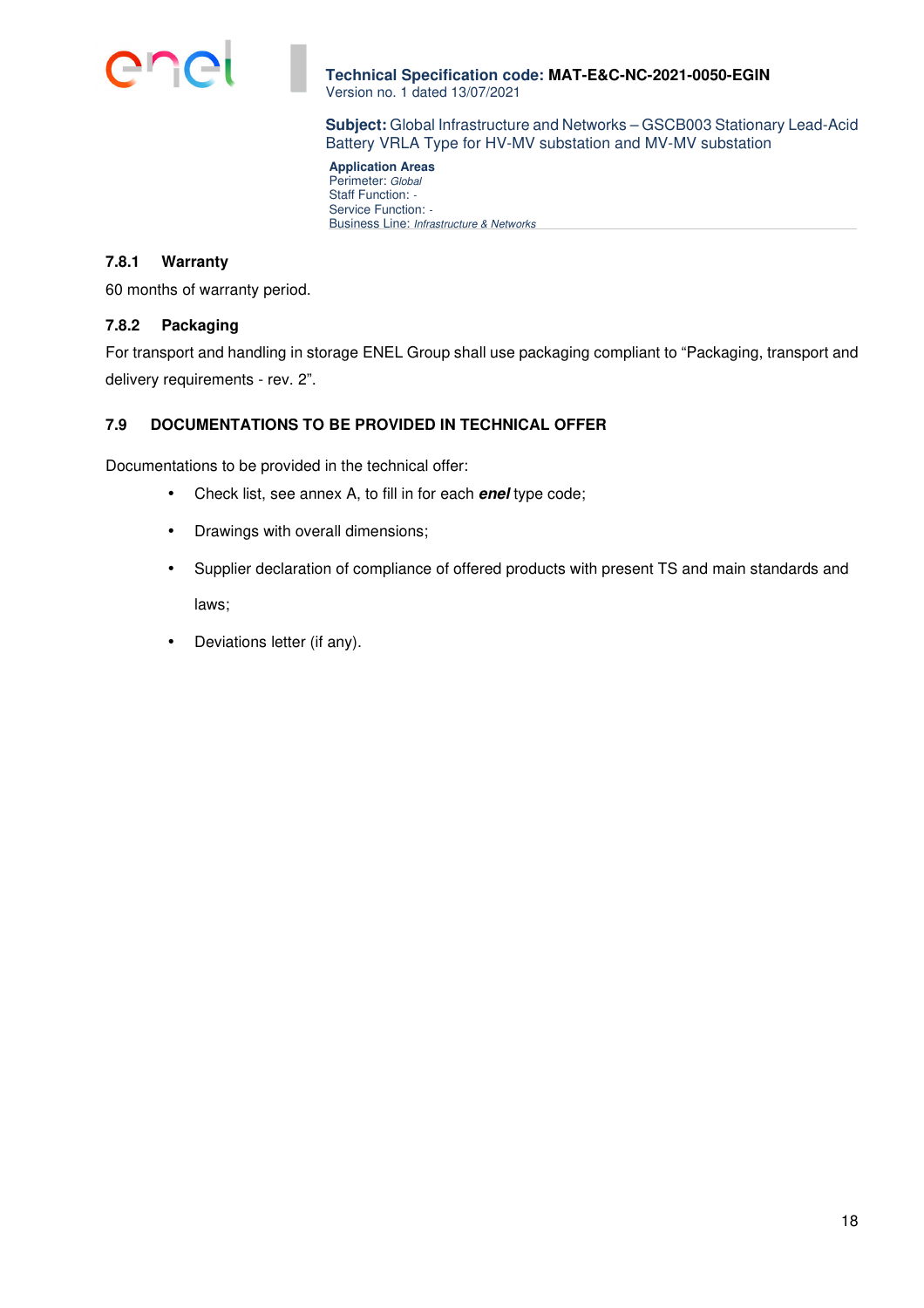

**Subject:** Global Infrastructure and Networks – GSCB003 Stationary Lead-Acid Battery VRLA Type for HV-MV substation and MV-MV substation

**Application Areas**  Perimeter: Global Staff Function: -Service Function: -Business Line: Infrastructure & Networks

### **7.8.1 Warranty**

60 months of warranty period.

#### **7.8.2 Packaging**

For transport and handling in storage ENEL Group shall use packaging compliant to "Packaging, transport and delivery requirements - rev. 2".

# **7.9 DOCUMENTATIONS TO BE PROVIDED IN TECHNICAL OFFER**

Documentations to be provided in the technical offer:

- Check list, see annex A, to fill in for each **enel** type code;
- Drawings with overall dimensions;
- Supplier declaration of compliance of offered products with present TS and main standards and laws;
- Deviations letter (if any).